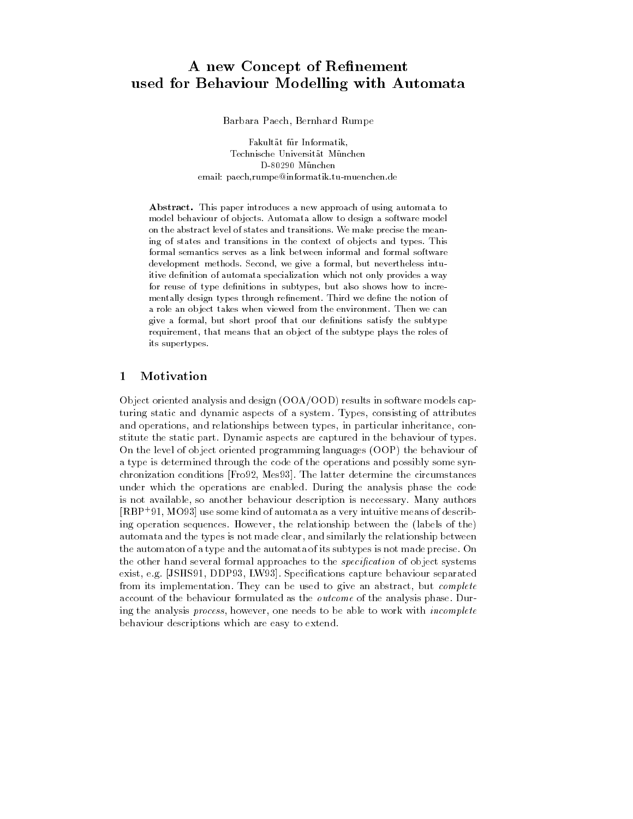# A new Concept of Re-nement used for Behaviour Modelling with Automata

Barbara Paech- Bernhard Rumpe

<u>- un information at fractions and</u> emann paech, men pe menne en men en men en en en me

Abstract- This paper introduces a new approach of using automata to model behaviour of objects. Automata allow to design a software model on the abstract level of states and transitions We make precise the mean ing of states and transitions in the context of objects and types. This formal semantics serves as a link between informal and formal software development methods. Second, we give a formal, but nevertheless intuitive definition of automata specialization which not only provides a way for reuse of type definitions in subtypes, but also shows how to incrementally design types through refinement. Third we define the notion of a role an object takes when viewed from the environment. Then we can give a formal, but short proof that our definitions satisfy the subtype requirement, that means that an object of the subtype plays the roles of its supertypes

#### $\mathbf{1}$ Motivation

Object oriented analysis and design  $(OOA/OOD)$  results in software models capturing static and dynamic aspects of a system Typesand operations- and relationships between types- in particular inheritance- con stitute the static part. Dynamic aspects are captured in the behaviour of types. On the level of object oriented programming languages (OOP) the behaviour of a type is determined through the code of the operations and possibly some syn chronizations continuous process in the fit was chronized the circumstances of the conditions of under which the operations are enabled. During the analysis phase the code is not accurate the minimum description is necessary minimum authors and many minimum authors.  $|{\bf R} {\bf D} {\bf r}|$  ,  $|{\bf M} {\bf D} {\bf r}|$  as some kind of automata as a very intuitive means of describing operation sequences However- the relationship between the labels of the automata and the types is not made clear- and similarly the relationship between the automaton of a type and the automata of its subtypes is not made precise On the other hand several formal approaches to the specification of object systems. exister and the exister of the large separated behaviour separated behaviour separated behaviour separations o from its implementation They can be used to give an abstract- but complete account of the behaviour formulated as the *outcome* of the analysis phase. During the analysis process, however, one houds to be able to work with theo mplete behaviour descriptions which are easy to extend



[PR94] B. Paech, B. Rumpe. A new Concept of Refinement used for Behaviour Modelling with Automata. In: FME'94: Industrial Benefit of Formal Methods. Editors: Maurice Naftalin, Tim Denvir, Miquel Bertran. LNCS 873. Springer-Verlag, Berlin, 1994. www.se-rwth.de/publications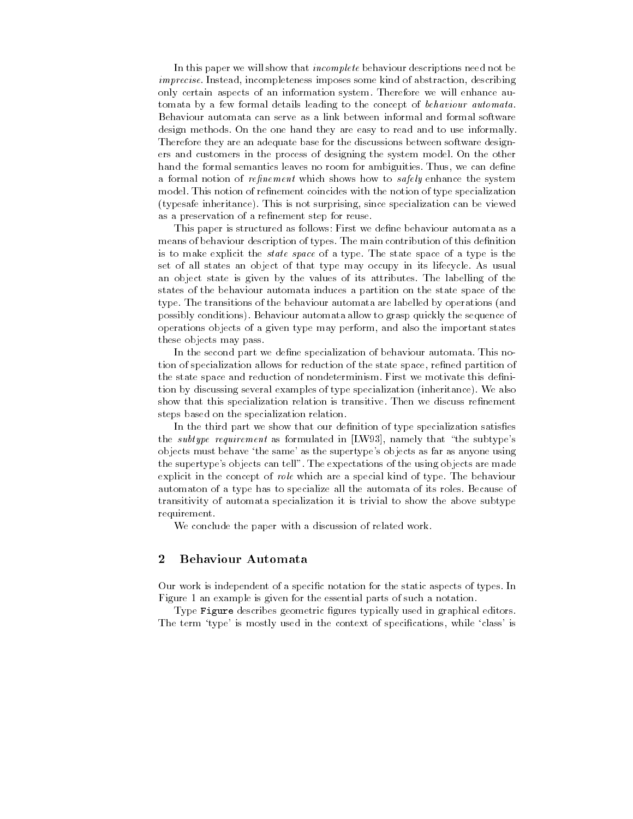In this paper we will show that *incomplete* behaviour descriptions need not be incomplete interest incompletent incomplete the complete some than the original contentral development of the only certain aspects of an information system Therefore we will enhance au tomata by a few formal details leading to the concept of behaviour automata Behaviour automata can serve as a link between informal and formal software design methods. On the one hand they are easy to read and to use informally. Therefore they are an adequate base for the discussions between software design ers and customers in the process of designing the system model On the other hand the formal semantics leaves no room for ambiguities Thus- we can dene a formal notion of representative military shows how to safely emilities the system. model. This notion of refinement coincides with the notion of type specialization typesafe inheritance This is not surprising- since specialization can be viewed as a preservation of a refinement step for reuse.

This paper is structured as follows: First we define behaviour automata as a means of behaviour description of types. The main contribution of this definition is to make explicit the state space of a type The state space of a type is the set of all states an object of that type may occupy in its lifecycle As usual an object state is given by the values of its attributes The labelling of the states of the behaviour automata induces a partition on the state space of the type. The transitions of the behaviour automata are labelled by operations (and possibly conditions). Behaviour automata allow to grasp quickly the sequence of operations objects of a given type may perform- and also the important states these objects may pass

In the second part we define specialization of behaviour automata. This notion of specialization allows for reduction of the state space- rened partition of the state space and reduction of nondeterminism. First we motivate this definition by discussing several examples of type specialization (inheritance). We also show that this specialization relation is transitive. Then we discuss refinement steps based on the specialization relation

In the third part we show that our definition of type specialization satisfies  $\mu$  and subtype requirement as formulated in  $\mu$   $\mu$  and  $\mu$  matricly that the subtypes objects must behave 'the same' as the supertype's objects as far as anyone using the supertype's objects can tell". The expectations of the using objects are made explicit in the concept of role which are a special kind of type. The behaviour automaton of a type has to specialize all the automata of its roles Because of transitivity of automata specialization it is trivial to show the above subtype requirement

We conclude the paper with a discussion of related work.

#### $\overline{2}$ **Behaviour Automata**

Our work is independent of a specific notation for the static aspects of types. In Figure 1 an example is given for the essential parts of such a notation.

Type Figure describes geometric figures typically used in graphical editors. The term type is mostly used in the context of specications- while class is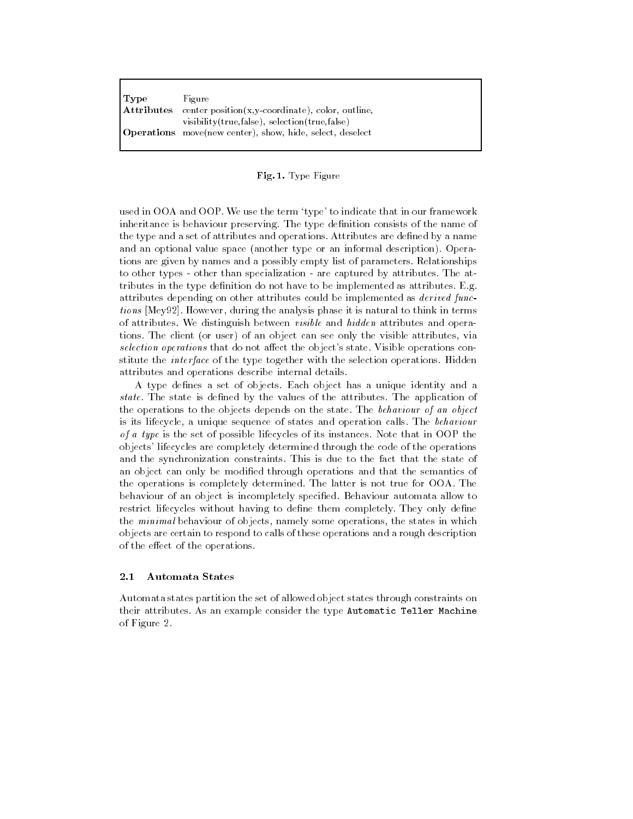| Type       | Figure                                                           |
|------------|------------------------------------------------------------------|
| Attributes | center $position(x,y-coordinate)$ , color, outline,              |
|            | visibility (true, false), selection (true, false)                |
|            | <b>Operations</b> move(new center), show, hide, select, deselect |

### Fig- - Type Figure

used in OOA and OOP. We use the term 'type' to indicate that in our framework inheritance is behaviour preserving. The type definition consists of the name of the type and a set of attributes and operations. Attributes are defined by a name and an optional value space (another type or an informal description). Operations are given by names and a possibly empty list of parameters Relationships to other types - other than specialization - are captured by attributes. The attributes in the type definition do not have to be implemented as attributes. E.g. attributes depending on other attributes could be implemented as *derived func*the medical services of anti-may are writing to the presence it is not transition in terms in terms of of attributes. We distinguish between *visible* and *hidden* attributes and operations The client or user of an object can see only the visible attributes- via  $s$ election operations that do not affect the object  $s$  state. Visible operations constitute the *interface* of the type together with the selection operations. Hidden attributes and operations describe internal details

A type defines a set of objects. Each object has a unique identity and a state. The state is defined by the values of the attributes. The application of the operations to the objects depends on the state. The behaviour of an object is its lifecycle- a unique sequence of states and operation calls The behaviour of a type is the set of possible lifecycles of its instances Note that in OOP the objects lifecycles are completely determined through the code of the operations and the synchronization constraints This is due to the fact that the state of an object can only be modified through operations and that the semantics of the operations is completely determined The latter is not true for OOA The behaviour of an object is incompletely specified. Behaviour automata allow to restrict lifecycles without having to define them completely. They only define the minimal behaviour of objects-induction, some operations-incorporation in which objects are certain to respond to calls of these operations and a rough description of the effect of the operations.

#### $2.1$ **Automata States**

Automata states partition the set of allowed object states through constraints on their attributes As an example consider the type Automatic Teller Machine of Figure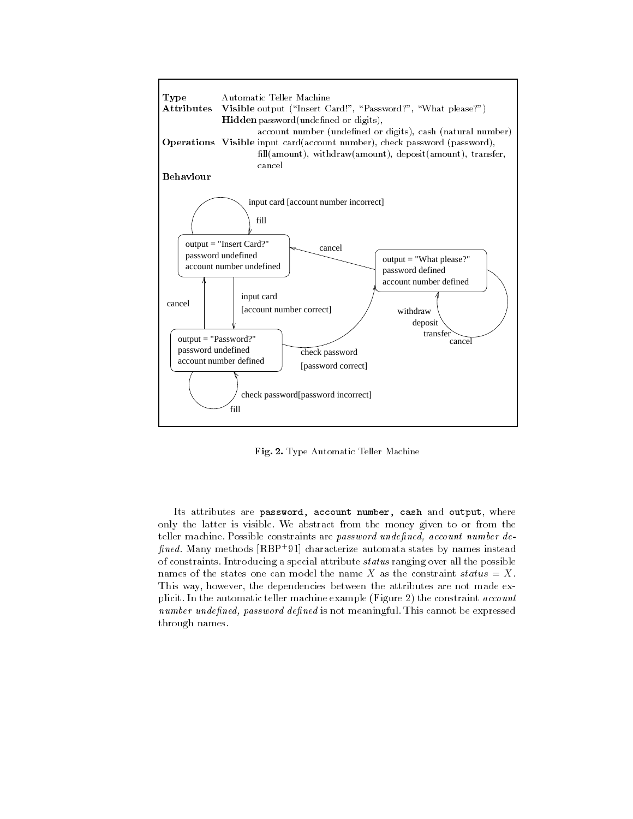

Fig- - Type Automatic Teller Machine

Its attributes are password- account number- cash and output- where only the latter is visible We abstract from the money given to or from the tener machine, rossible constraints are *password undefined*, *uccumi number uc-* $\mu n$ ea. Many methods  $|\mathbf{n}\mathbf{p}|$  vi $|\mathbf{n}|$  characterize automata states by names instead of constraints Introducing a special attribute status ranging over all the possible names of the states one can model the name X as the constraint status = X. this way- the dependence the dependence the attributes are not made except the attributes are not  $p$ ireite in the automatic teller machine example  $\left( \mathbf{r} \right)$  are constraint account  $n$ umber unue $\mu$ neu,  $p$ ussword ue $\mu$ neu is not meaningful. This cannot be expressed through names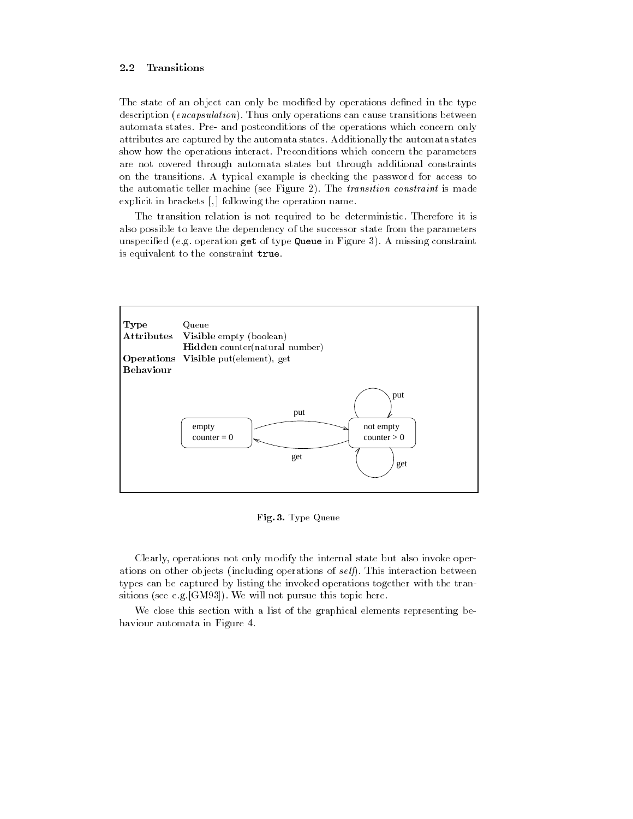#### $2.2$ Transitions

The state of an object can only be modified by operations defined in the type description *(encapsulation)*. Thus only operations can cause transitions between automata states. Pre- and postconditions of the operations which concern only attributes are captured by the automata states Additionally the automata states show how the operations interact. Preconditions which concern the parameters are not covered through automata states but through additional constraints on the transitions A typical example is checking the password for access to the automatic teller machine (see Figure 2). The transition constraint is made explicit in brackets  $\mathbb{F}_1$  , following the operation namelia

The transition relation is not required to be deterministic Therefore it is also possible to leave the dependency of the successor state from the parameters unspecified (e.g. operation get of type Queue in Figure 3). A missing constraint is equivalent to the constraint true.



Fig- - Type Queue

Clearly- operations not only modify the internal state but also invoke oper ations on other objects (including operations of  $\mathfrak{self}$ ). This interaction between types can be captured by listing the invoked operations together with the tran sitions (see e.g.  $[GM93]$ ). We will not pursue this topic here.

We close this section with a list of the graphical elements representing behaviour automata in Figure 4.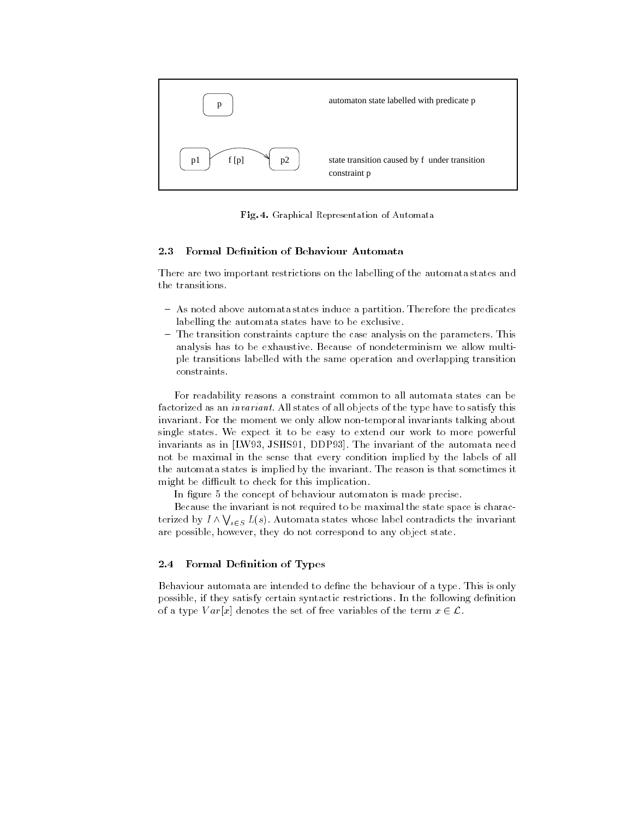

Fig- - Graphical Representation of Automata

#### 2.3 Formal Definition of Behaviour Automata

There are two important restrictions on the labelling of the automata states and the transitions

- As noted above automata states induce a partition Therefore the predicates labelling the automata states have to be exclusive
- The transition constraints capture the case analysis on the parameters. This analysis has to be exhaustive. Because of nondeterminism we allow multiple transitions labelled with the same operation and overlapping transition constraints

For readability reasons a constraint common to all automata states can be factorized as an *invariant*. All states of all objects of the type have to satisfy this invariant. For the moment we only allow non-temporal invariants talking about single states We expect it to be easy to extend our work to more powerful invariants as in LW - DDP in LW - DDP in LW - DDP invariant of the automata needs the automata needs of the au not be maximal in the sense that every condition implied by the labels of all the automata states is implied by the invariant The reason is that sometimes it might be difficult to check for this implication.

In figure 5 the concept of behaviour automaton is made precise.

Because the invariant is not required to be maximal the state space is charac terized by  $I \wedge \bigvee_{s \in S} L(s)$ . Automata states whose label contradicts the invariant are possible- they do not correspond to any object state states.

#### $2.4$ Formal Definition of Types

Behaviour automata are intended to define the behaviour of a type. This is only possible- if they satisfy certain syntactic restrictions In the following denition of a type V ary 19 denotes the set of free variables of the term x-term  $\sim$  the t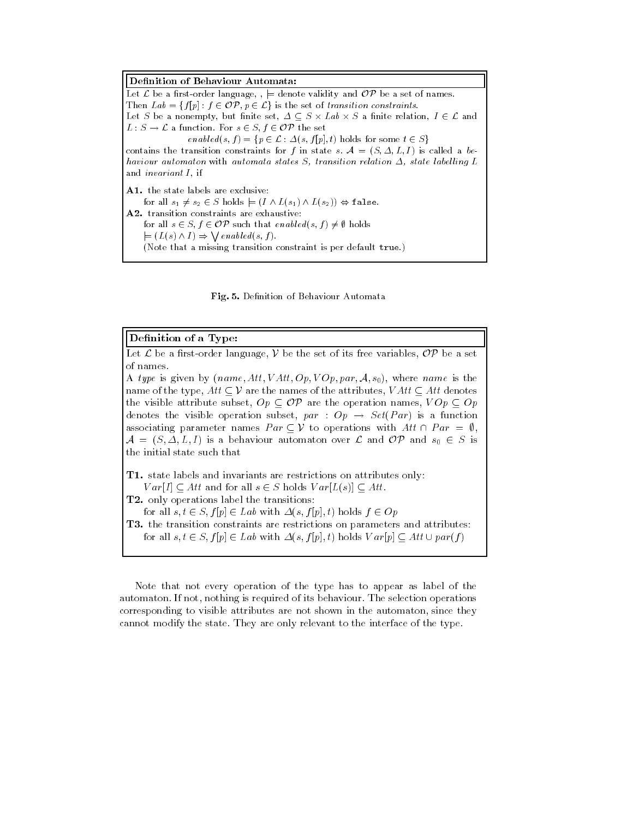Definition of Behaviour Automata: Let  $\mathcal L$  be a first-order language,  $j \models$  denote validity and  $\mathcal{OP}$  be a set of names.  $\mathcal{L}$  is the set of  $\mathcal{L}$  is the set of transition constraints. are set of a non-map  $\alpha$  , which is set  $\alpha$  and  $\alpha$  and  $\alpha$  and  $\alpha$  are set of  $\alpha$  and  $\alpha$  -<sup>L</sup> <sup>S</sup> L a function For <sup>s</sup> - S- f - OP the set  $\mathcal{L}$  is a some to the some that  $\mathcal{L}$  is the some that  $\mathcal{L}$  is the some that  $\mathcal{L}$ contains the transition constraints for  $f$  in state s  $\mu$ ,  $\mu$  and  $\mu$  is called a behaviour automaton with automata states S, transition relation  $\Delta$ , state labelling L and invariant <sup>I</sup> if for all s s- - <sup>S</sup> holds j 
I L
s L
s- false for an  $\sigma \subset \sigma$ ,  $\sigma$  such that enables  $\sigma$ ,  $\sigma$ ,  $\sigma$  holds  $\models$   $(L(s) \land I) \Rightarrow \bigvee \text{}\neq \text{}\neq \text{}\neq \text{}\{s, f\}.$ (Note that a missing transition constraint is per default true.)



### Definition of a Type:

a red a restorder language-letter its free variables-the set of its free variables-

 $\mathcal{L}$  , where  $\mathcal{L}$  is the property is the state is the interest of  $\mathcal{L}$  is the state is the state is the state is the state is the state is the state is the state is the state is the state is the state is the s names of the type-value of the names of the attributes-the attributes-denotesthe visible attribute subset- Op OP are the operation names- V Op Op denotes the visible operation subset-formation subset-formation subset-formation subset-formation subset-forma associating parameter names  $Par \subseteq V$  to operations with  $Att \cap Par = \emptyset$ , a straightforward and over Library and OP and Service and OP and Service and OP and OP and OP and Service and the initial state such that

T-state labels and invariants are restrictions are restrictions are restrictions on attributes on attributes on  $\mathcal{L}$  are all s  $\mathcal{L}$  and  $\mathcal{L}$  are  $\mathcal{L}$  are all s -  $\mathcal{L}$  and  $\mathcal{L}$  are  $\mathcal{L}$  and  $\mathcal{L}$  are  $\mathcal{L}$  and  $\mathcal{L}$  are  $\mathcal{L}$  and  $\mathcal{L}$  are  $\mathcal{L}$  and  $\mathcal{L}$  are  $\mathcal{L}$  and  $\mathcal{L}$  are

— — only operations and the transitions in the transition

for all s- t - S- f p - Lab with s- f p- t holds f - Op

T- the transition constraints are restrictions on parameters and attributes

for all s- t - S- f p - Lab with s- f p- t holds V arp Att parf

Note that not every operation of the type has to appear as label of the automaton If not protection is required of its behaviour The selection operations of  $\mathcal{L}_{\mathcal{A}}$ corresponding to visible attributes are not shown in the automaton-shown in the automatoncannot modify the state. They are only relevant to the interface of the type.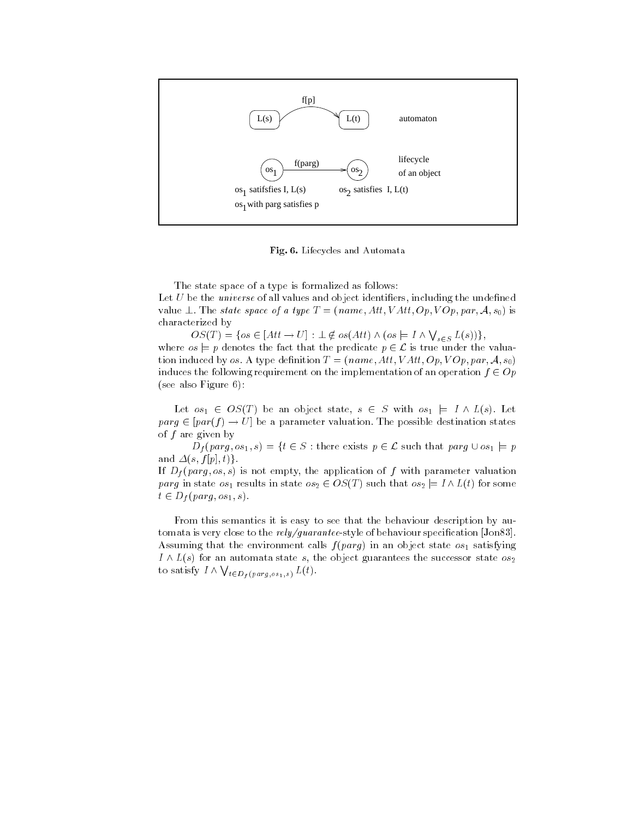

Fig- - Lifecycles and Automata

The state space of a type is formalized as follows

Let U be the universe of all values and object identiers- including the undened value  $\perp$ . The state space of a type  $I = (name, Art, VAtt, Up, VOP, put, A, 80)$  is characterized by

 $OS(T) = \{os \in [Att \rightarrow U] : \bot \notin os(Att) \land (os \models I \land \bigvee_{s \in S} L(s))\},\$ where os just the fact that the fact that the predicate p - the predicate p - the valuate p - the valuate p tion in denition and the set of the set of the set of the set of the set of the set of the set of the set of t induces the following requirement on the implementation of an operation f - Op  $(see also Figure 6):$ 

and it is a set of the state-of-control of the set of the state-of-control in the state of the state of the st paragreg part in the part is part in the parameter value of possible destination states in the part of the part of  $f$  are given by

م الحديث المسلم المستقدمة المسلم المستقدمة المسلم المسلم المسلم المسلم المسلم المسلم المسلم المسلم المسلم المس and s- f p- tg

If  $\mathbf{u}$  is not empty for the application of f with parameter values of  $\mathbf{u}$ parg in state os results in state os - OST such that os j <sup>I</sup> Lt for some  $\cdots$   $\cdots$ 

From this semantics it is easy to see that the behaviour description by au tomata is very close to the  $rely/guarante$ estyle of behaviour specification [Jon83]. Assuming that the environment calls  $f(parg)$  in an object state  $os_1$  satisfying is for a later statement states the successor states the successor state of  $\mathcal{L}_2$ to satisfy  $I \wedge \bigvee_{t \in D_{f}(parg, os_{1}, s)} L(t)$ .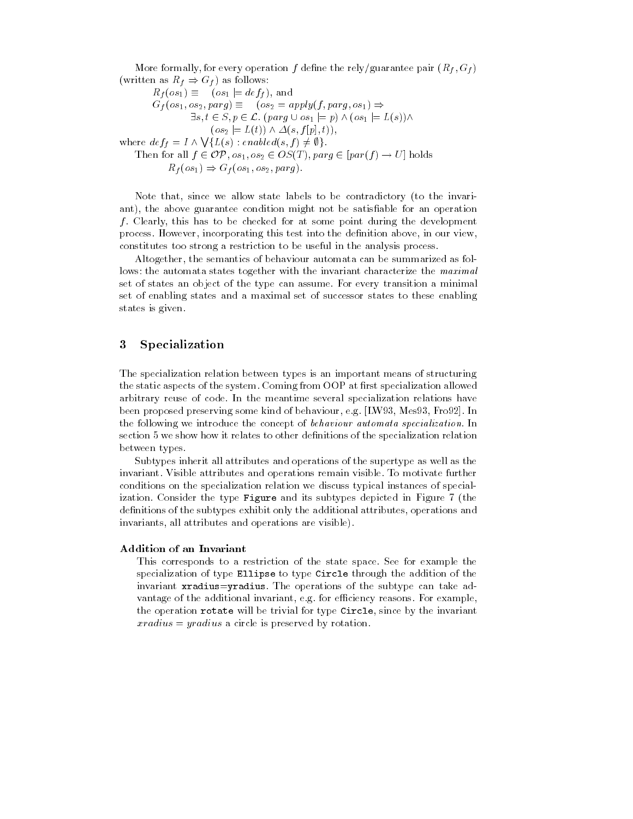More formally- for every operation f dene the relyguarantee pair Rf - Gf written as  $\mathcal{L} = \mathcal{L} \mathcal{L}$  as follows:  $\mathbb{R}^n$  ,  $\mathbb{R}^n$  ,  $\mathbb{R}^n$  ,  $\mathbb{R}^n$  ,  $\mathbb{R}^n$  ,  $\mathbb{R}^n$  ,  $\mathbb{R}^n$  ,  $\mathbb{R}^n$  ,  $\mathbb{R}^n$  ,  $\mathbb{R}^n$  ,  $\mathbb{R}^n$  ,  $\mathbb{R}^n$  ,  $\mathbb{R}^n$  ,  $\mathbb{R}^n$  ,  $\mathbb{R}^n$  ,  $\mathbb{R}^n$  ,  $\mathbb{R}^n$  , gf os-ben all the contration of the contract of the contract of the contract of the contract of the contract o s- t - S- p - L parg os j p os j Ls

where  $def_f = I \wedge \bigvee \{L(s) : enabled(s,$ 

Then for all  $f \in \mathcal{OP}$ ,  $os_1, os_2 \in OS(T)$ ,  $\text{parg} \in [\text{par}(f) \rightarrow U]$  holds  $\mathbb{R}^n$  ,  $\mathbb{R}^n$  ,  $\mathbb{R}^n$  ,  $\mathbb{R}^n$  ,  $\mathbb{R}^n$  ,  $\mathbb{R}^n$  ,  $\mathbb{R}^n$  ,  $\mathbb{R}^n$  ,  $\mathbb{R}^n$  ,  $\mathbb{R}^n$  ,  $\mathbb{R}^n$  ,  $\mathbb{R}^n$  ,  $\mathbb{R}^n$  ,  $\mathbb{R}^n$  ,  $\mathbb{R}^n$  ,  $\mathbb{R}^n$  ,  $\mathbb{R}^n$  ,

 $\lambda$  -  $\sim$   $\lambda$  ,  $\sim$   $\lambda$  ,  $\lambda$  ,  $\lambda$  ,  $\sim$   $\lambda$  ,  $\lambda$  ,  $\lambda$  ,  $\lambda$  ,  $\lambda$  ,  $\lambda$  ,  $\lambda$  ,  $\lambda$ 

Note that- since we allow state labels to be contradictory to the invari ant-condition above guarantee conditions might not be satisfactor and operation and f Clearly- this has to be checked for at some point during the development process However, However, this test into the denimies in our view-section aboveconstitutes too strong a restriction to be useful in the analysis process

Altogether- the semantics of behaviour automata can be summarized as fol lows: the automata states together with the invariant characterize the maximal set of states an object of the type can assume For every transition a minimal set of enabling states and a maximal set of successor states to these enabling states is given

### Specialization 3

The specialization relation between types is an important means of structuring the static aspects of the system. Coming from OOP at first specialization allowed arbitrary reuse of code In the meantime several specialization relations have , and proposed preserving some measures and an entirely supply with a some specific the community of the second the following we introduce the concept of behaviour automata specialization In section 5 we show how it relates to other definitions of the specialization relation between types

Subtypes inherit all attributes and operations of the supertype as well as the invariant. Visible attributes and operations remain visible. To motivate further conditions on the specialization relation we discuss typical instances of special ization. Consider the type Figure and its subtypes depicted in Figure 7 (the denitions of the subtypes exhibit only the additional attributes- operations and invariants- all attributes and operations are visible

## Addition of an Invariant

This corresponds to a restriction of the state space See for example the specialization of type Ellipse to type Circle through the addition of the invariant xradius=yradius. The operations of the subtype can take advantage of the additional invariant- eg for eciency reasons For examplethe operation rotates will be trivial for the invariant formulation  $\mathcal{S}$  $rradius = yradius$  a circle is preserved by rotation.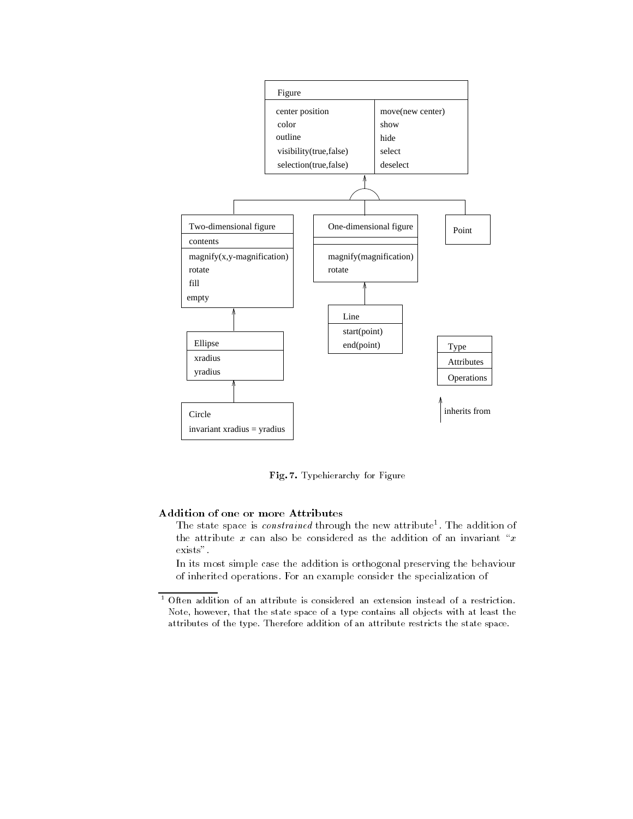

Fig- - Typehierarchy for Figure

# Addition of one or more Attributes

The state space is *constrained* through the new attribute. The addition of the attribute  $x$  can also be considered as the addition of an invariant " $x$ exists".

In its most simple case the addition is orthogonal preserving the behaviour of inherited operations For an example consider the specialization of

 $^\circ$  Often addition of an attribute is considered an extension instead of a restriction. Note, however, that the state space of a type contains all objects with at least the attributes of the type. Therefore addition of an attribute restricts the state space.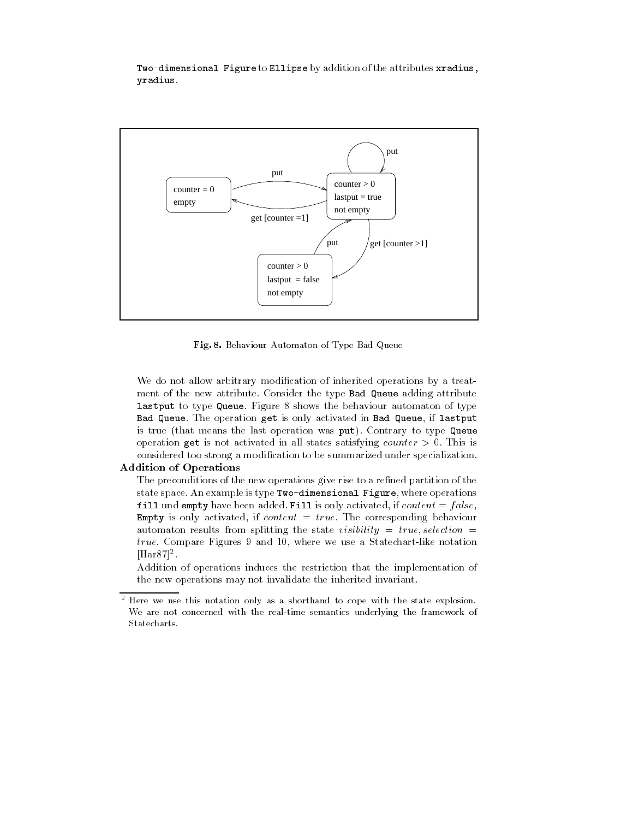Two-dimensional Figure to Ellipse by addition of the attributes xradius, yradius



Fig- - Behaviour Automaton of Type Bad Queue

We do not allow arbitrary modification of inherited operations by a treatment of the new attribute Consider the type Bad Queue adding attribute lastput to type Queue. Figure  $8$  shows the behaviour automaton of type saa qatati sai ifisaning git is only activities in Bad queue, is bad if a is true (that means the last operation was put). Contrary to type Queue operation get is not activated in all states satisfying counter  $> 0$ . This is considered too strong a modification to be summarized under specialization.

# Addition of Operations

The preconditions of the new operations give rise to a refined partition of the state space An example is type Twodimensional Figure- where operations fill und empty have been added Fill is only activated- if content f alse-Empty is only activated- if content true The corresponding behaviour automaton results from splitting the state visibility  $\mathbf{r}$  is the state visibility of  $\mathbf{r}$ true Compare Figures and  $\mathbf{f}$  and  $\mathbf{f}$  $|\Pi \text{aI}\circ \iota|^{-}$  .

Addition of operations induces the restriction that the implementation of the new operations may not invalidate the inherited invariant

<sup>-</sup> Here we use this notation only as a shorthand to cope with the state explosion We are not concerned with the real-time semantics underlying the framework of Statecharts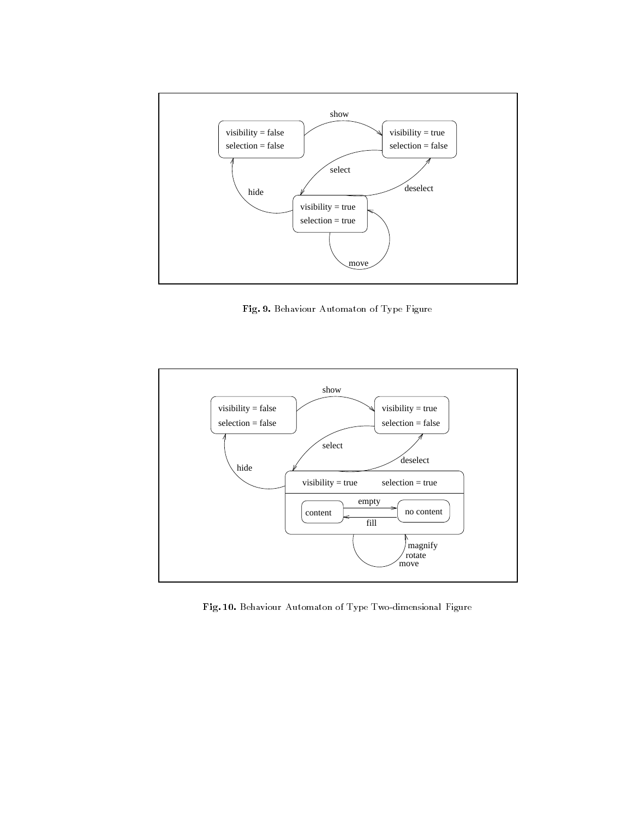

Fig- 
- Behaviour Automaton of Type Figure



Fig- - Behaviour Automaton of Type Twodimensional Figure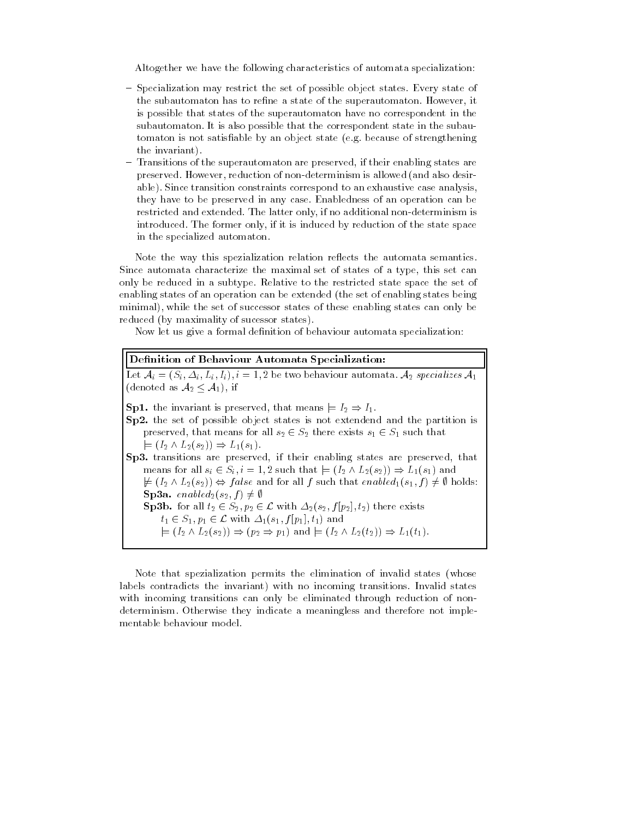Altogether we have the following characteristics of automata specialization

- Specialization may restrict the set of possible object states. Every state of the subautomaton has to rene a state of the superautomaton However- it is possible that states of the superautomaton have no correspondent in the subautomaton. It is also possible that the correspondent state in the subautomaton is not satisfiable by an object state (e.g. because of strengthening the invariant
- Transitions of the superautomaton are preserved- if their enabling states are preserved However- reduction of nondeterminism is allowed and also desir able). Since transition constraints correspond to an exhaustive case analysis, they have to be preserved in any case Enabledness of an operation can be restricted and a corrected the latter only. If no additional non-determinism is a complete  $\alpha$ introduced The former only- if it is induced by reduction of the state space in the specialized automaton

Note the way this spezialization relation reflects the automata semantics. since automatic characterize the maximal set of states of a type-partner set can only be reduced in a subtype Relative to the restricted state space the set of enabling states of an operation can be extended (the set of enabling states being minimal- while the set of successor states of these enabling states can only be reduced (by maximality of sucessor states).

Now let us give a formal definition of behaviour automata specialization:

| Let $A_i = (S_i, \Delta_i, L_i, I_i), i = 1, 2$ be two behaviour automata. $A_2$ specializes $A_1$<br>(denoted as $A_2 \leq A_1$ ), if<br><b>Sp1.</b> the invariant is preserved, that means $\models I_2 \Rightarrow I_1$ .<br>Sp2. the set of possible object states is not extendend and the partition is<br>preserved, that means for all $s_2 \in S_2$ there exists $s_1 \in S_1$ such that<br>$\models (I_2 \wedge L_2(s_2)) \Rightarrow L_1(s_1).$<br>Sp3. transitions are preserved, if their enabling states are preserved, that<br>means for all $s_i \in S_i$ , $i = 1, 2$ such that $\models (I_2 \wedge L_2(s_2)) \Rightarrow L_1(s_1)$ and<br>$\not\models (I_2 \wedge L_2(s_2)) \Leftrightarrow false$ and for all f such that enable $d_1(s_1, f) \neq \emptyset$ holds:<br><b>Sp3a.</b> enable $d_2(s_2, f) \neq \emptyset$<br><b>Sp3b.</b> for all $t_2 \in S_2, p_2 \in \mathcal{L}$ with $\Delta_2(s_2, f[p_2], t_2)$ there exists | Definition of Behaviour Automata Specialization:                         |  |
|--------------------------------------------------------------------------------------------------------------------------------------------------------------------------------------------------------------------------------------------------------------------------------------------------------------------------------------------------------------------------------------------------------------------------------------------------------------------------------------------------------------------------------------------------------------------------------------------------------------------------------------------------------------------------------------------------------------------------------------------------------------------------------------------------------------------------------------------------------------------------------------------------------------------------------------------------------|--------------------------------------------------------------------------|--|
|                                                                                                                                                                                                                                                                                                                                                                                                                                                                                                                                                                                                                                                                                                                                                                                                                                                                                                                                                        |                                                                          |  |
| $\models (I_2 \wedge L_2(s_2)) \Rightarrow (p_2 \Rightarrow p_1)$ and $\models (I_2 \wedge L_2(t_2)) \Rightarrow L_1(t_1)$ .                                                                                                                                                                                                                                                                                                                                                                                                                                                                                                                                                                                                                                                                                                                                                                                                                           | $t_1 \in S_1, p_1 \in \mathcal{L}$ with $\Delta_1(s_1, f[p_1], t_1)$ and |  |

Note that spezialization permits the elimination of invalid states (whose labels contradicts the invariant) with no incoming transitions. Invalid states with incoming transitions can only be eliminated through reduction of non determinism Otherwise they indicate a meaningless and therefore not imple mentable behaviour model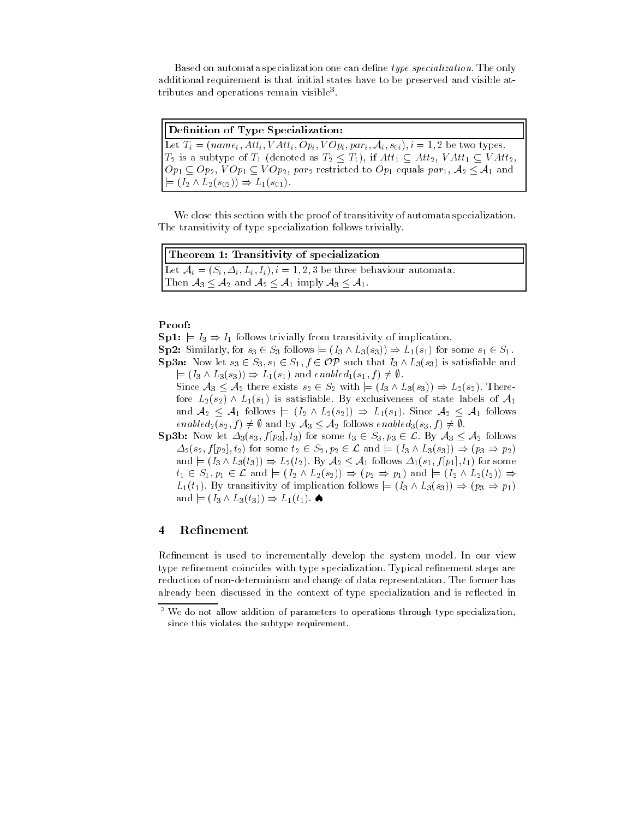Based on automata specialization one can define type specialization. The only additional requirement is that initial states have to be preserved and visible at tributes and operations remain visible

| Definition of Type Specialization:                                                                                 |  |
|--------------------------------------------------------------------------------------------------------------------|--|
| Let $T_i = (name_i, Att_i, VAtt_i, Op_i, VOp_i, par_i, A_i, s_{0i}), i = 1, 2$ be two types.                       |  |
| $T_2$ is a subtype of $T_1$ (denoted as $T_2 \leq T_1$ ), if $Att_1 \subseteq Att_2$ , $VAtt_1 \subseteq VAtt_2$ , |  |
| $[Op_1 \subset Op_2, VOp_1 \subset VOp_2, par_2$ restricted to $Op_1$ equals par <sub>1</sub> , $A_2 \leq A_1$ and |  |
| $ \models (I_2 \wedge L_2(s_{02})) \Rightarrow L_1(s_{01}).$                                                       |  |

We close this section with the proof of transitivity of automata specialization. The transitivity of type specialization follows trivially

| Theorem 1: Transitivity of specialization                                       |  |
|---------------------------------------------------------------------------------|--|
| Let $A_i = (S_i, \Delta_i, L_i, I_i), i = 1, 2, 3$ be three behaviour automata. |  |
| Then $A_3 \leq A_2$ and $A_2 \leq A_1$ imply $A_3 \leq A_1$ .                   |  |

### Proof

Sp j I I follows trivially from transitivity of implication

Sp Similarly- for s - S follows j I Ls Ls for some s - S

- $S$  such that is satisfactor that is satisfactor of  $S$   $S$   $S$   $S$   $S$   $S$   $S$   $S$   $S$   $S$   $S$   $S$   $S$   $S$   $S$   $S$   $S$   $S$   $S$   $S$   $S$   $S$   $S$   $S$   $S$   $S$   $S$   $S$  j i La la die gij i het en en en en en en blijf is de enable Since A  $\alpha$  , and there exists s  $\alpha$  is a set of  $\alpha$  in a there exists s  $\alpha$  is a set of  $\alpha$ fore  $L_2(s_2) \wedge L_1(s_1)$  is satisfiable. By exclusiveness of state labels of  $\mathcal{A}_1$ 
	- and A follows is a follow in the Land and Land and A follows in the Land and Land and Land and Land and Land a f  $\cdots$  . A follows the follows enable  $\cdots$  and  $\cdots$  . The follows enable  $\cdots$
- $\mathcal{S}$  , for some the some time that  $\mathcal{S}$  is the some that  $\mathcal{S}$  , and  $\mathcal{S}$  are  $\mathcal{S}$  and  $\mathcal{S}$  are the some time of  $\mathcal{S}$  $-$  and if the first contract  $\sim$  to a find the some interpretational contract of the some interpretation of the some interpretation of the society of the society of the society of the society of the society of the socie and it is a following that  $\alpha$  is formed as follows to the following the some section of  $\alpha$ t listen van die die beskryf die die heefstelen van die het die beskryf van die beskryf van die beskryf van die  $\mathcal{L} = \{ \mathcal{L} \mid \mathcal{L} = \mathcal{L} \}$  . The interpretation follows is a property in  $\mathcal{L} = \{ \mathcal{L} \mid \mathcal{L} = \mathcal{L} \}$  $\cdots$  . The interval of  $\cdots$  is the interval of  $\cdots$  interval of  $\cdots$  interval or  $\cdots$

#### Refinement 4

Refinement is used to incrementally develop the system model. In our view type refinement coincides with type specialization. Typical refinement steps are reduction of non-determinism and change of data representation. The former has already been discussed in the context of type specialization and is reflected in

 $^\circ$  We do not allow addition of parameters to operations through type specialization,  $^\circ$ since this violates the subtype requirement.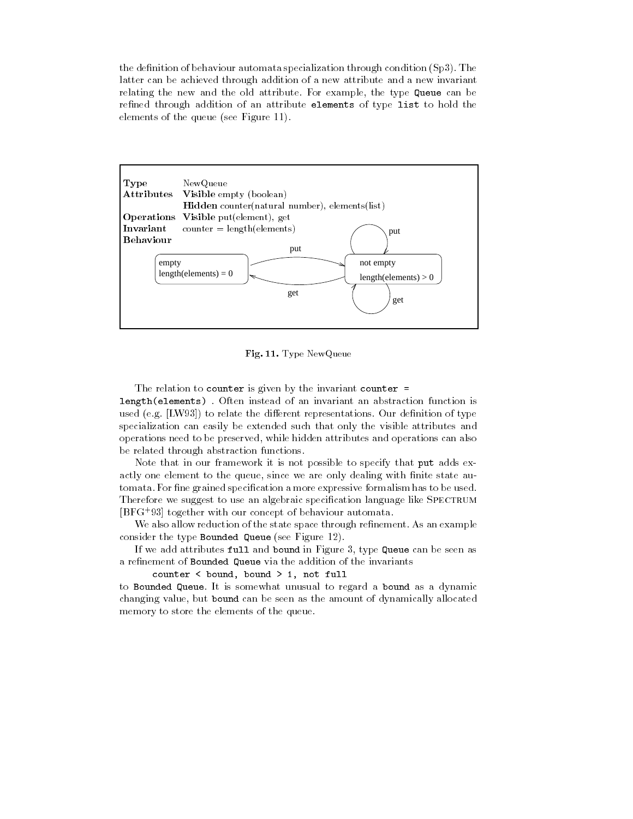the definition of behaviour automata specialization through condition  $(Sp3)$ . The latter can be achieved through addition of a new attribute and a new invariant relating the new and the old attribute For example- the type Queue can be refined through addition of an attribute elements of type list to hold the elements of the queue (see Figure 11).



Fig- - Type NewQueue

The relation to counter is given by the invariant counter  $=$ length(elements). Often instead of an invariant an abstraction function is used (e.g. [LW93]) to relate the different representations. Our definition of type specialization can easily be extended such that only the visible attributes and operations need to be preserved- while hidden attributes and operations can also be related through abstraction functions

Note that in our framework it is not possible to specify that put adds ex actly one element to the queue-to-the queue-to-the queue-to-the queue-to-the state auto-to-the state auto-to-t tomata. For fine grained specification a more expressive formalism has to be used. Therefore we suggest to use an algebraic specification language like SPECTRUM BFG  together with our concept of behaviour automata

We also allow reduction of the state space through refinement. As an example consider the type Bounded Queue see Figure

If we add attributes function in Figure - type  $\Box$ a refinement of Bounded Queue via the addition of the invariants

counter the main , we main the specific manager of the second state of the second state of the second state of

to Bounded Queue It is somewhat unusual to regard a bound as a dynamic changing value-part but bound can be seen as the allocated all approximately allocated the contracted and memory to store the elements of the queue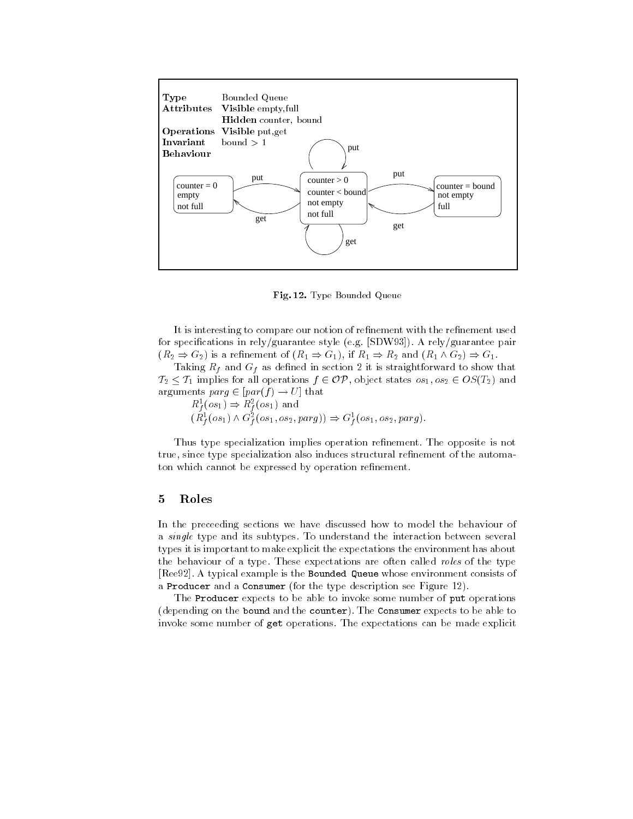

– Type Bounded Queue

It is interesting to compare our notion of refinement with the refinement used for specifications in rely/guarantee style (e.g.  $[SDW93]$ ). A rely/guarantee pair R 20 I - 20 I - 20 I - 20 I - 20 I - 20 I - 20 I - 20 I - 20 I - 20 I - 20 I - 20 I - 20 I - 20 I - 20 I - 20

Taking Rf and Gf as dened in section it is straightforward to show that  $\tau_A$  is the process for all operations  $f$  is a state state of  $\tau_{A}$  in  $\tau_{A}$  is a state of  $\tau_{A}$  and  $\tau_{B}$ arguments parameters parameters parameters are the set of  $\mathcal{P}$ 

 $R_1(0s_1) \Rightarrow R_1(0s_1)$ イベニー・メーション インディー・エヌ・エム  $(R_f^{\tau}(os_1) \wedge \sigma_f^{\tau}(os_1, os_2, parg)) \Rightarrow \sigma_f^{\tau}(os_1, os_2, parg).$ 

Thus type specialization implies operation refinement. The opposite is not true- since type specialization also induces structural renement of the automa ton which cannot be expressed by operation refinement.

### Roles

In the preceeding sections we have discussed how to model the behaviour of a single type and its subtypes To understand the interaction between several types it is important to make explicit the expectations the environment has about the behaviour of a type. These expectations are often called *roles* of the type recovery the construction and the Boundaries whose environment consistence whose environment consists of a Producer and a Consumer for the type description see Figure 2.

The Producer expects to be able to invoke some number of put operations (depending on the bound and the counter). The Consumer expects to be able to invoke some number of get operations The expectations can be made explicit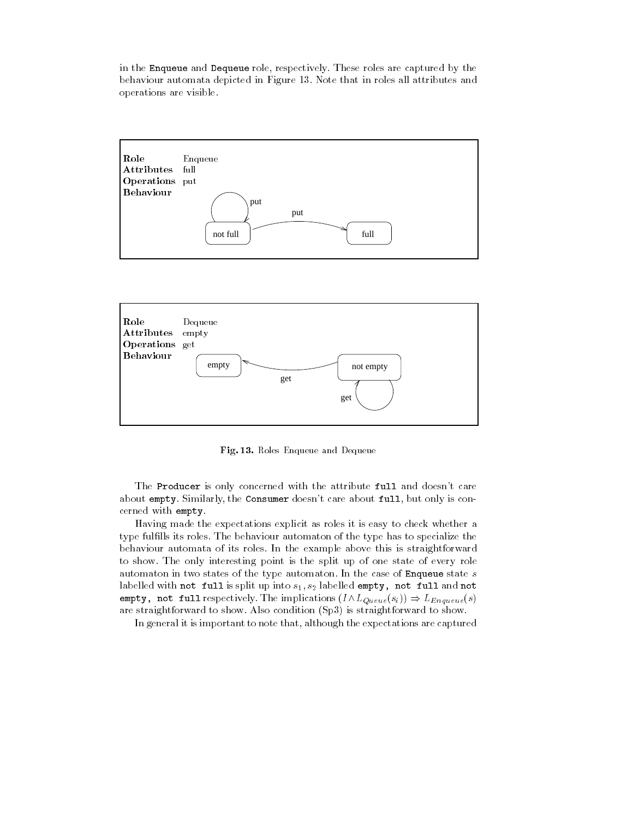in the Enqueue and Dequeue role- respectively These roles are captured by the behaviour automata depicted in Figure 13. Note that in roles all attributes and operations are visible





- - A roles Enqueue and Dequeue

The Producer is only concerned with the attribute full and doesn't care about the Constitution of Consumer doesness about full-care about full-care about full-care about fullcerned with empty.

Having made the expectations explicit as roles it is easy to check whether a type fulfills its roles. The behaviour automaton of the type has to specialize the behaviour automata of its roles In the example above this is straightforward to show The only interesting point is the split up of one state of every role automaton in two states of the type automaton. In the case of Enqueue state  $s$ labelled with not full is splittly into s-labelled empty-labelled empty-companies into the self-companies of t empty-particles in the interest of the implication in the interest of the interest of the interest of the interest of the interest of the interest of the interest of the interest of the interest of the interest of the inte are straightforward to show. Also condition (Sp3) is straightforward to show.

In general it is important to note that- although the expectations are captured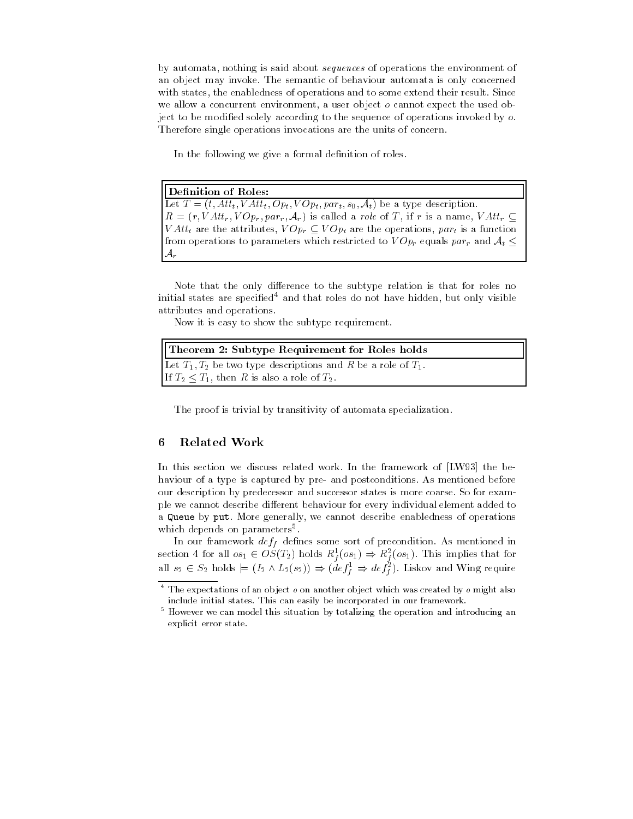by automata- nothing is said about sequences of operations the environment of an object may invoke The semantic of behaviour automata is only concerned with states- the enables-shown and to some extend the some extend their result Since Since Since  $\sim$ we allow a concurrent environmental a user object to cannot expect the used ob ject to be modified solely according to the sequence of operations invoked by  $o$ . Therefore single operations invocations are the units of concern

In the following we give a formal definition of roles.

Definition of Roles:

at the attractive the contract of the state of the second contract of the second contract of the second contra  $\mathbf{v} = \mathbf{v} \cdot \mathbf{v}$  . The part of  $\mathbf{v}$  is a role of  $\mathbf{v}$  is a name  $\mathbf{v}$  is a name  $\mathbf{v}$ v attributes- the attributes-  $\mathbf{v}$  operations-  $\mathbf{v}$  are the operations-  $\mathbf{v}$  and  $\mathbf{v}$  are the operationsfrom operations to parameters which restricted to V Opr equals parr and At  $\mathcal{A}_r$ 

Note that the only difference to the subtype relation is that for roles no initial states are specied and that roles do not have hidden- but only visible attributes and operations

Now it is easy to show the subtype requirement

| Theorem 2: Subtype Requirement for Roles holds                     |  |
|--------------------------------------------------------------------|--|
| Let $T_1, T_2$ be two type descriptions and R be a role of $T_1$ . |  |
| If $T_2 \leq T_1$ , then R is also a role of $T_2$ .               |  |

The proof is trivial by transitivity of automata specialization

#### 6 Related Work

In this section we discuss related work. In the framework of [LW93] the behaviour of a type is captured by pre- and postconditions. As mentioned before our description by predecessor and successor states is more coarse. So for example we cannot describe different behaviour for every individual element added to a que este put more generally-se cannot describe enablement en eperations of o which depends on parameters 

In our framework deff denes some sort of precondition As mentioned in section 4 for all  $os_1 \in OS(1_2)$  holds  $\kappa_f^*(os_1) \Rightarrow \kappa_f^*(os_1)$ . This limplies that for figures the contract of the contract of the contract of the contract of the contract of the contract of the contract of the contract of the contract of the contract of the contract of the contract of the contract of the co all  $s_2 \in S_2$  holds  $\models (1_2 \land L_2(s_2)) \Rightarrow (a e f_{\bar{f}} \Rightarrow a e f_{\bar{f}})$ . Liskov and wing require

 $^\circ$  The expectations of an object  $o$  on another object which was created by  $o$  might also include initial states. This can easily be incorporated in our framework.

<sup>-</sup> However we can model this situation by totalizing the operation and introducing an explicit error state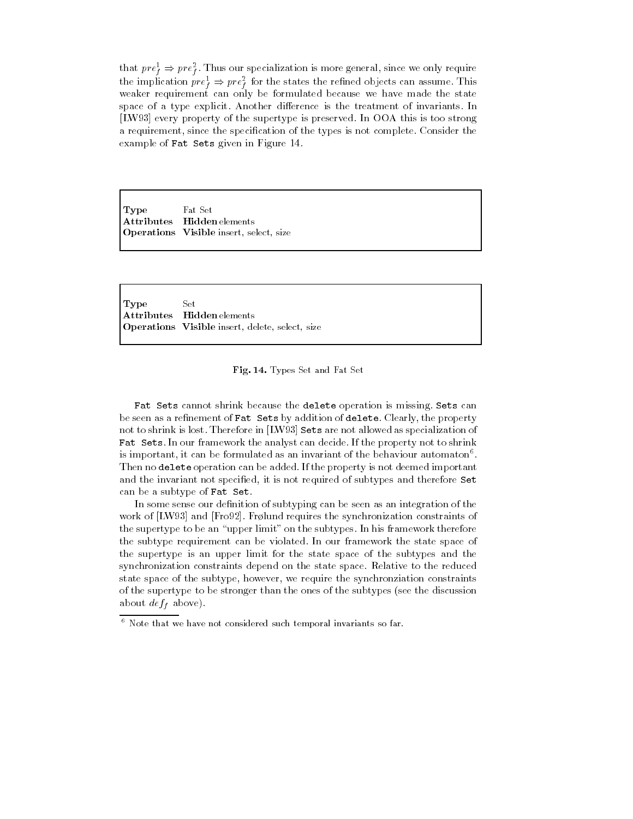that  $pre_{\tilde{f}} \Rightarrow pre_{\tilde{f}}$ . Thus our specialization is more general, since we only require the implication  $pre_{\tilde{f}} \Rightarrow pre_{\tilde{f}}$  for the states the renned objects can assume. This weaker requirement can only be formulated because we have made the state space of a type explicit. Another difference is the treatment of invariants. In [LW93] every property of the supertype is preserved. In OOA this is too strong a requirement and the special considered the special of the special theorem is not consider the const example of Fat Sets given in Figure 14.

Type Fat Set Attributes Hidden elements Operations Visible insert, select, size

 $_{\rm Type}$ Set Attributes Hidden elements Operations Visible insert, delete, select, size



Fat Sets cannot shrink because the delete operation is missing. Sets can be seen as a renement of Fat Sets by addition of delete Clearly- the property not to shrink is lost. Therefore in [LW93] Sets are not allowed as specialization of Fat Sets. In our framework the analyst can decide. If the property not to shrink is important, it can be formulated as an invariant of the behaviour automaton . Then no delete operation can be added. If the property is not deemed important and the invariant it is permitted to invariant the subtypes and the subtypes and the subtypes and the can be a subtype of Fat Set

In some sense our definition of subtyping can be seen as an integration of the work of LW and Francisco and Francisco and Francisco and Francisco and Francisco and Francisco and Francisco a the supertype to be an "upper limit" on the subtypes. In his framework therefore the subtype requirement can be violated. In our framework the state space of the supertype is an upper limit for the state space of the subtypes and the synchronization constraints depend on the state space Relative to the reduced state space of the subtype- however- we require the synchronziation constraints of the supertype to be stronger than the ones of the subtypes (see the discussion above a contract above a contract  $\mathcal{L}$ 

<sup>-</sup> Note that we have not considered such temporal invariants so far.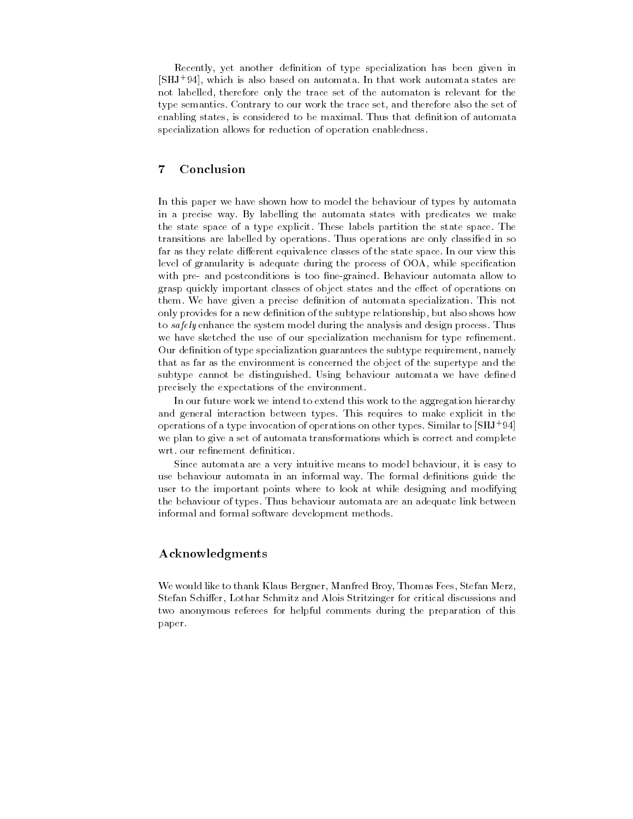Recently- yet another denition of type specialization has been given in SHJ - which is also based on automata In that work automata states are not labelled- therefore only the trace set of the automaton is relevant for the type semantics Contrary to our work the trace set- and therefore also the set of enabling states- is considered to be maximal Thus that denition of automata specialization allows for reduction of operation enabledness

#### $\overline{7}$ Conclusion

In this paper we have shown how to model the behaviour of types by automata in a precise way By labelling the automata states with predicates we make the state space of a type explicit These labels partition the state space The transitions are labelled by operations Thus operations are only classied in so far as they relate different equivalence classes of the state space. In our view this level of granularity is adequate during the process of OOA- while specication with pre- and postconditions is too fine-grained. Behaviour automata allow to grasp quickly important classes of object states and the effect of operations on them. We have given a precise definition of automata specialization. This not only provides for a new denition of the subtype relationship- but also shows how to *safely* enhance the system model during the analysis and design process. Thus we have sketched the use of our specialization mechanism for type refinement. Our denition of type specialization guarantees the subtype requirement- namely that as far as the environment is concerned the object of the supertype and the subtype cannot be distinguished. Using behaviour automata we have defined precisely the expectations of the environment

In our future work we intend to extend this work to the aggregation hierarchy and general interaction between types This requires to make explicit in the operations of a type invocation of operations on other types. Similar to SHJ + 34 + we plan to give a set of automata transformations which is correct and complete wrt. our refinement definition.

since automatica are a very intuitive measure to model behaviour are to may to may use behaviour automata in an informal way. The formal definitions guide the user to the important points where to look at while designing and modifying the behaviour of types Thus behaviour automata are an adequate link between informal and formal software development methods

## Acknowledgments

would like the top thank the company of the stefan mercial processes are the company of the company stefan Stefan Stefan Stefan Stefan Stritzinger for critical discussions and and along two anonymous referees for helpful comments during the preparation of this paper